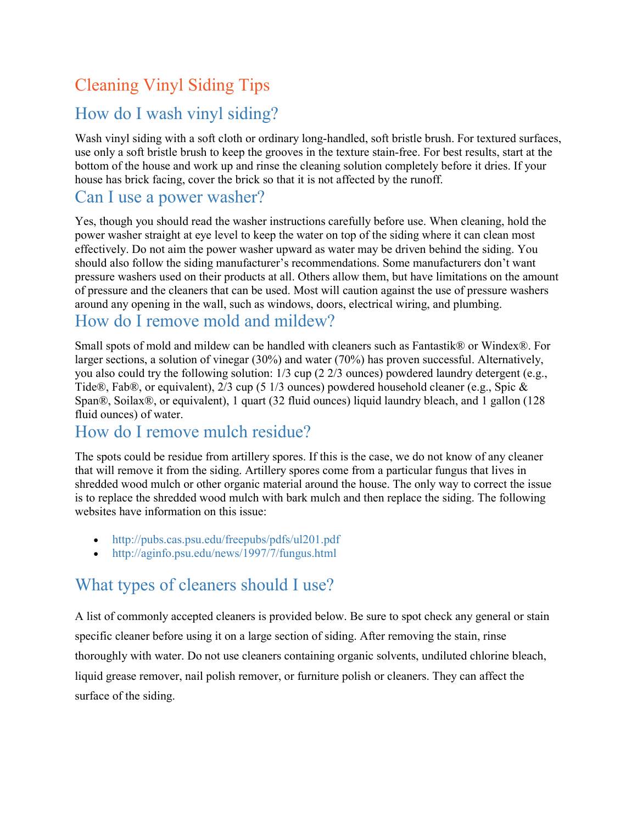# Cleaning Vinyl Siding Tips

## [How do I wash vinyl siding?](https://www.vinylsiding.org/vsi-resources/cleaning-and-maintenance/)

Wash vinyl siding with a soft cloth or ordinary long-handled, soft bristle brush. For textured surfaces, use only a soft bristle brush to keep the grooves in the texture stain-free. For best results, start at the bottom of the house and work up and rinse the cleaning solution completely before it dries. If your house has brick facing, cover the brick so that it is not affected by the runoff.

### [Can I use a power washer?](https://www.vinylsiding.org/vsi-resources/cleaning-and-maintenance/)

Yes, though you should read the washer instructions carefully before use. When cleaning, hold the power washer straight at eye level to keep the water on top of the siding where it can clean most effectively. Do not aim the power washer upward as water may be driven behind the siding. You should also follow the siding manufacturer's recommendations. Some manufacturers don't want pressure washers used on their products at all. Others allow them, but have limitations on the amount of pressure and the cleaners that can be used. Most will caution against the use of pressure washers around any opening in the wall, such as windows, doors, electrical wiring, and plumbing.

## [How do I remove mold and mildew?](https://www.vinylsiding.org/vsi-resources/cleaning-and-maintenance/)

Small spots of mold and mildew can be handled with cleaners such as Fantastik® or Windex®. For larger sections, a solution of vinegar (30%) and water (70%) has proven successful. Alternatively, you also could try the following solution: 1/3 cup (2 2/3 ounces) powdered laundry detergent (e.g., Tide®, Fab®, or equivalent), 2/3 cup (5 1/3 ounces) powdered household cleaner (e.g., Spic & Span®, Soilax®, or equivalent), 1 quart (32 fluid ounces) liquid laundry bleach, and 1 gallon (128 fluid ounces) of water.

#### [How do I remove mulch residue?](https://www.vinylsiding.org/vsi-resources/cleaning-and-maintenance/)

The spots could be residue from artillery spores. If this is the case, we do not know of any cleaner that will remove it from the siding. Artillery spores come from a particular fungus that lives in shredded wood mulch or other organic material around the house. The only way to correct the issue is to replace the shredded wood mulch with bark mulch and then replace the siding. The following websites have information on this issue:

- <http://pubs.cas.psu.edu/freepubs/pdfs/ul201.pdf>
- <http://aginfo.psu.edu/news/1997/7/fungus.html>

# [What types of cleaners should I use?](https://www.vinylsiding.org/vsi-resources/cleaning-and-maintenance/)

A list of commonly accepted cleaners is provided below. Be sure to spot check any general or stain specific cleaner before using it on a large section of siding. After removing the stain, rinse thoroughly with water. Do not use cleaners containing organic solvents, undiluted chlorine bleach, liquid grease remover, nail polish remover, or furniture polish or cleaners. They can affect the surface of the siding.